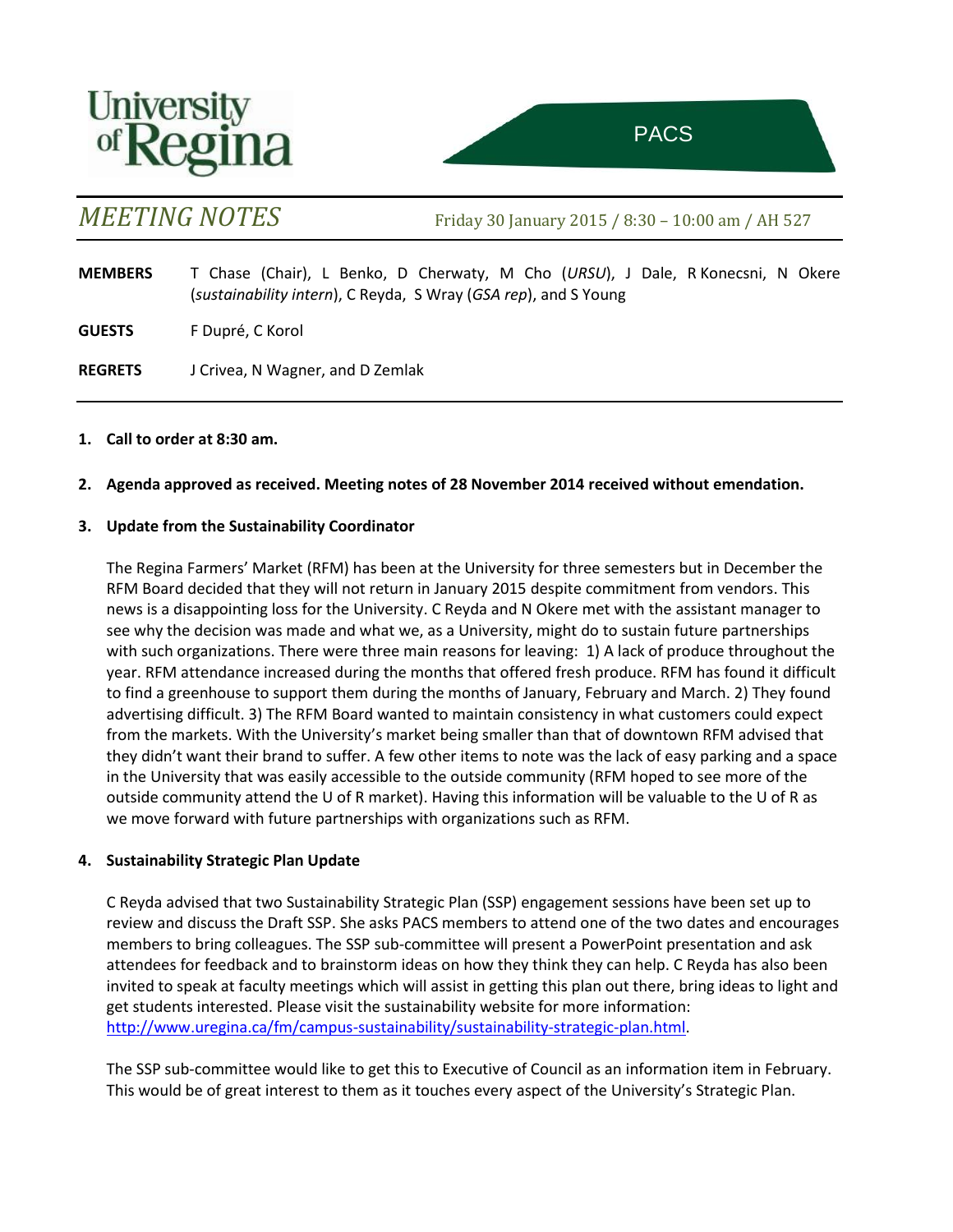



ttee on Sustainability of the Sustainability of the Sustainability of the Sustainability of the Sustainability<br>The Sustainability of the Sustainability of the Sustainability of the Sustainability of the Sustainability of

*MEETING NOTES* Friday 30 January 2015 / 8:30 – 10:00 am / AH 527

**MEMBERS** T Chase (Chair), L Benko, D Cherwaty, M Cho (*URSU*), J Dale, R Konecsni, N Okere (*sustainability intern*), C Reyda, S Wray (*GSA rep*), and S Young

**GUESTS** F Dupré, C Korol

**REGRETS** J Crivea, N Wagner, and D Zemlak

#### **1. Call to order at 8:30 am.**

**2. Agenda approved as received. Meeting notes of 28 November 2014 received without emendation.**

#### **3. Update from the Sustainability Coordinator**

The Regina Farmers' Market (RFM) has been at the University for three semesters but in December the RFM Board decided that they will not return in January 2015 despite commitment from vendors. This news is a disappointing loss for the University. C Reyda and N Okere met with the assistant manager to see why the decision was made and what we, as a University, might do to sustain future partnerships with such organizations. There were three main reasons for leaving: 1) A lack of produce throughout the year. RFM attendance increased during the months that offered fresh produce. RFM has found it difficult to find a greenhouse to support them during the months of January, February and March. 2) They found advertising difficult. 3) The RFM Board wanted to maintain consistency in what customers could expect from the markets. With the University's market being smaller than that of downtown RFM advised that they didn't want their brand to suffer. A few other items to note was the lack of easy parking and a space in the University that was easily accessible to the outside community (RFM hoped to see more of the outside community attend the U of R market). Having this information will be valuable to the U of R as we move forward with future partnerships with organizations such as RFM.

#### **4. Sustainability Strategic Plan Update**

C Reyda advised that two Sustainability Strategic Plan (SSP) engagement sessions have been set up to review and discuss the Draft SSP. She asks PACS members to attend one of the two dates and encourages members to bring colleagues. The SSP sub-committee will present a PowerPoint presentation and ask attendees for feedback and to brainstorm ideas on how they think they can help. C Reyda has also been invited to speak at faculty meetings which will assist in getting this plan out there, bring ideas to light and get students interested. Please visit the sustainability website for more information: [http://www.uregina.ca/fm/campus-sustainability/sustainability-strategic-plan.html.](http://www.uregina.ca/fm/campus-sustainability/sustainability-strategic-plan.html)

The SSP sub-committee would like to get this to Executive of Council as an information item in February. This would be of great interest to them as it touches every aspect of the University's Strategic Plan.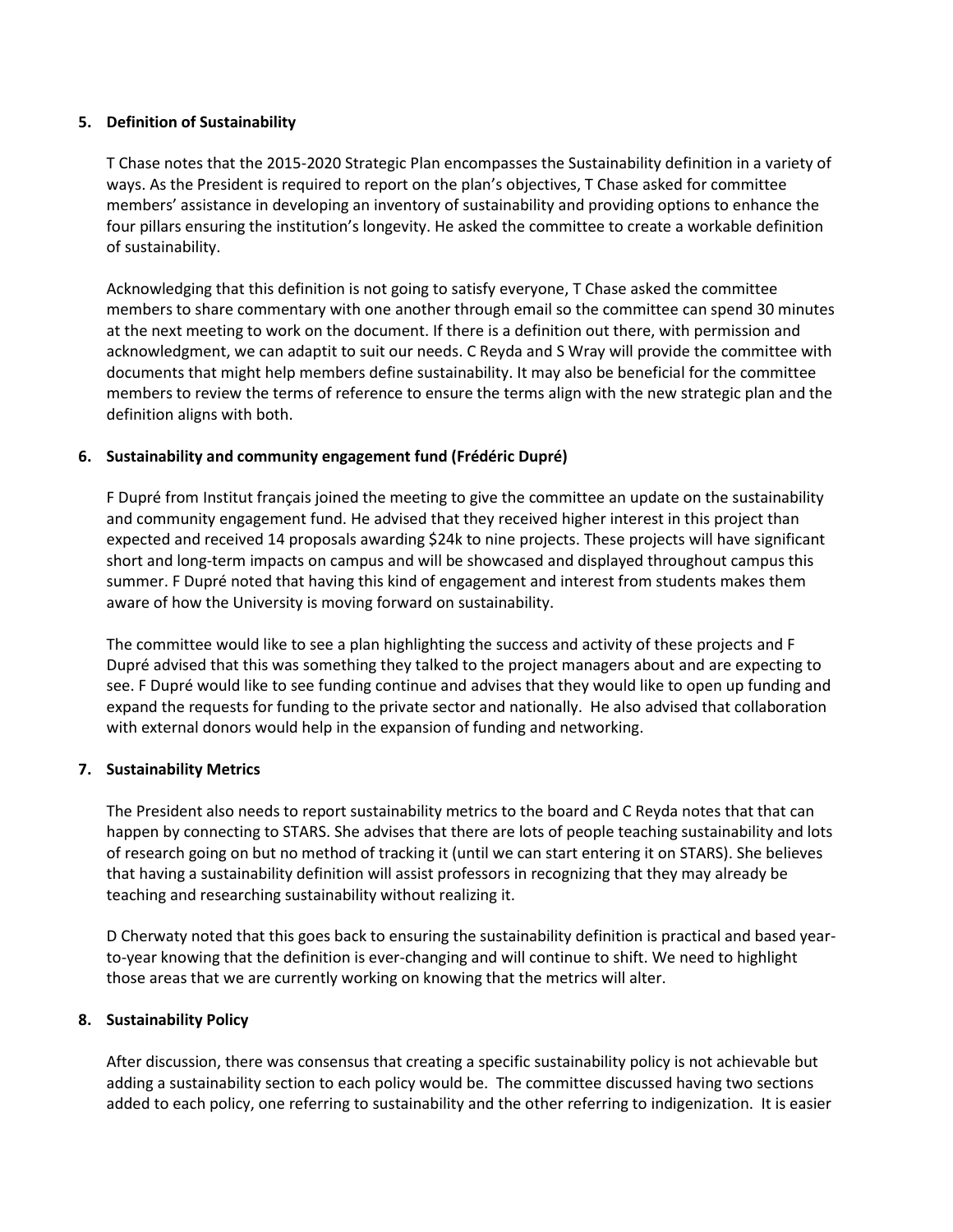## **5. Definition of Sustainability**

T Chase notes that the 2015-2020 Strategic Plan encompasses the Sustainability definition in a variety of ways. As the President is required to report on the plan's objectives, T Chase asked for committee members' assistance in developing an inventory of sustainability and providing options to enhance the four pillars ensuring the institution's longevity. He asked the committee to create a workable definition of sustainability.

Acknowledging that this definition is not going to satisfy everyone, T Chase asked the committee members to share commentary with one another through email so the committee can spend 30 minutes at the next meeting to work on the document. If there is a definition out there, with permission and acknowledgment, we can adaptit to suit our needs. C Reyda and S Wray will provide the committee with documents that might help members define sustainability. It may also be beneficial for the committee members to review the terms of reference to ensure the terms align with the new strategic plan and the definition aligns with both.

## **6. Sustainability and community engagement fund (Frédéric Dupré)**

F Dupré from Institut français joined the meeting to give the committee an update on the sustainability and community engagement fund. He advised that they received higher interest in this project than expected and received 14 proposals awarding \$24k to nine projects. These projects will have significant short and long-term impacts on campus and will be showcased and displayed throughout campus this summer. F Dupré noted that having this kind of engagement and interest from students makes them aware of how the University is moving forward on sustainability.

The committee would like to see a plan highlighting the success and activity of these projects and F Dupré advised that this was something they talked to the project managers about and are expecting to see. F Dupré would like to see funding continue and advises that they would like to open up funding and expand the requests for funding to the private sector and nationally. He also advised that collaboration with external donors would help in the expansion of funding and networking.

## **7. Sustainability Metrics**

The President also needs to report sustainability metrics to the board and C Reyda notes that that can happen by connecting to STARS. She advises that there are lots of people teaching sustainability and lots of research going on but no method of tracking it (until we can start entering it on STARS). She believes that having a sustainability definition will assist professors in recognizing that they may already be teaching and researching sustainability without realizing it.

D Cherwaty noted that this goes back to ensuring the sustainability definition is practical and based yearto-year knowing that the definition is ever-changing and will continue to shift. We need to highlight those areas that we are currently working on knowing that the metrics will alter.

## **8. Sustainability Policy**

After discussion, there was consensus that creating a specific sustainability policy is not achievable but adding a sustainability section to each policy would be. The committee discussed having two sections added to each policy, one referring to sustainability and the other referring to indigenization. It is easier